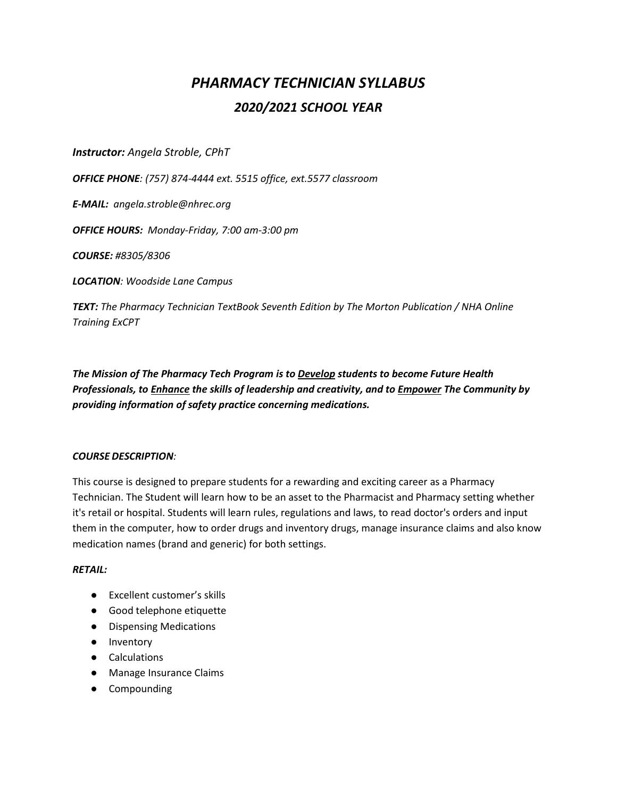# *PHARMACY TECHNICIAN SYLLABUS 2020/2021 SCHOOL YEAR*

*Instructor: Angela Stroble, CPhT*

*OFFICE PHONE: (757) 874-4444 ext. 5515 office, ext.5577 classroom*

*E-MAIL: angela.stroble@nhrec.org*

*OFFICE HOURS: Monday-Friday, 7:00 am-3:00 pm*

*COURSE: #8305/8306*

*LOCATION: Woodside Lane Campus*

*TEXT: The Pharmacy Technician TextBook Seventh Edition by The Morton Publication / NHA Online Training ExCPT*

*The Mission of The Pharmacy Tech Program is to Develop students to become Future Health Professionals, to Enhance the skills of leadership and creativity, and to Empower The Community by providing information of safety practice concerning medications.*

## *COURSE DESCRIPTION:*

This course is designed to prepare students for a rewarding and exciting career as a Pharmacy Technician. The Student will learn how to be an asset to the Pharmacist and Pharmacy setting whether it's retail or hospital. Students will learn rules, regulations and laws, to read doctor's orders and input them in the computer, how to order drugs and inventory drugs, manage insurance claims and also know medication names (brand and generic) for both settings.

## *RETAIL:*

- Excellent customer's skills
- Good telephone etiquette
- Dispensing Medications
- Inventory
- Calculations
- Manage Insurance Claims
- Compounding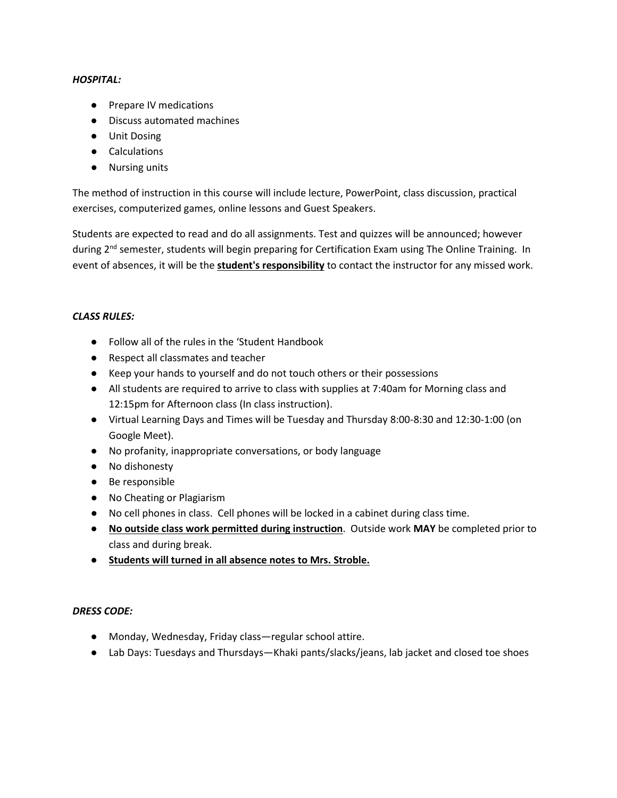## *HOSPITAL:*

- Prepare IV medications
- Discuss automated machines
- Unit Dosing
- Calculations
- Nursing units

The method of instruction in this course will include lecture, PowerPoint, class discussion, practical exercises, computerized games, online lessons and Guest Speakers.

Students are expected to read and do all assignments. Test and quizzes will be announced; however during 2<sup>nd</sup> semester, students will begin preparing for Certification Exam using The Online Training. In event of absences, it will be the **student's responsibility** to contact the instructor for any missed work.

## *CLASS RULES:*

- Follow all of the rules in the 'Student Handbook
- Respect all classmates and teacher
- Keep your hands to yourself and do not touch others or their possessions
- All students are required to arrive to class with supplies at 7:40am for Morning class and 12:15pm for Afternoon class (In class instruction).
- Virtual Learning Days and Times will be Tuesday and Thursday 8:00-8:30 and 12:30-1:00 (on Google Meet).
- No profanity, inappropriate conversations, or body language
- No dishonesty
- Be responsible
- No Cheating or Plagiarism
- No cell phones in class. Cell phones will be locked in a cabinet during class time.
- **No outside class work permitted during instruction**. Outside work **MAY** be completed prior to class and during break.
- **Students will turned in all absence notes to Mrs. Stroble.**

## *DRESS CODE:*

- Monday, Wednesday, Friday class—regular school attire.
- Lab Days: Tuesdays and Thursdays—Khaki pants/slacks/jeans, lab jacket and closed toe shoes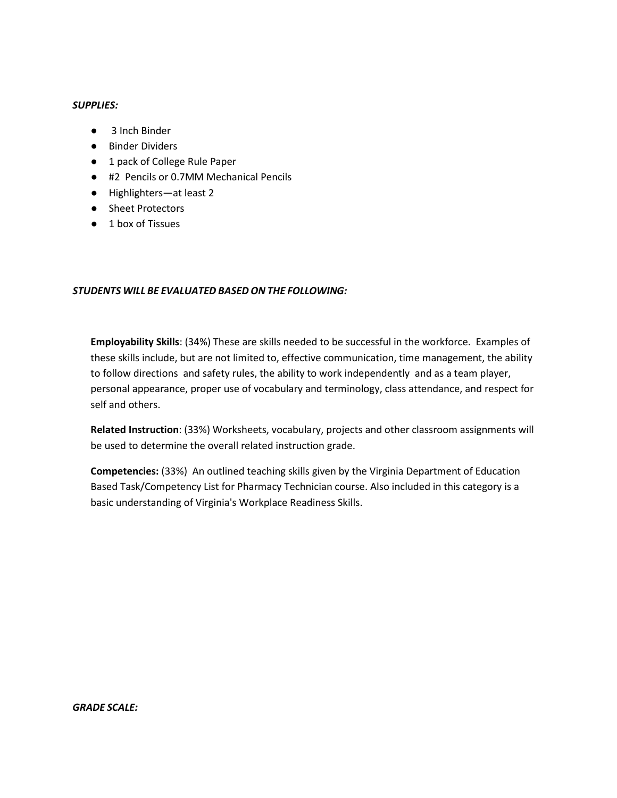## *SUPPLIES:*

- 3 Inch Binder
- Binder Dividers
- 1 pack of College Rule Paper
- #2 Pencils or 0.7MM Mechanical Pencils
- Highlighters—at least 2
- Sheet Protectors
- 1 box of Tissues

## *STUDENTS WILL BE EVALUATED BASED ON THE FOLLOWING:*

**Employability Skills**: (34%) These are skills needed to be successful in the workforce. Examples of these skills include, but are not limited to, effective communication, time management, the ability to follow directions and safety rules, the ability to work independently and as a team player, personal appearance, proper use of vocabulary and terminology, class attendance, and respect for self and others.

**Related Instruction**: (33%) Worksheets, vocabulary, projects and other classroom assignments will be used to determine the overall related instruction grade.

**Competencies:** (33%) An outlined teaching skills given by the Virginia Department of Education Based Task/Competency List for Pharmacy Technician course. Also included in this category is a basic understanding of Virginia's Workplace Readiness Skills.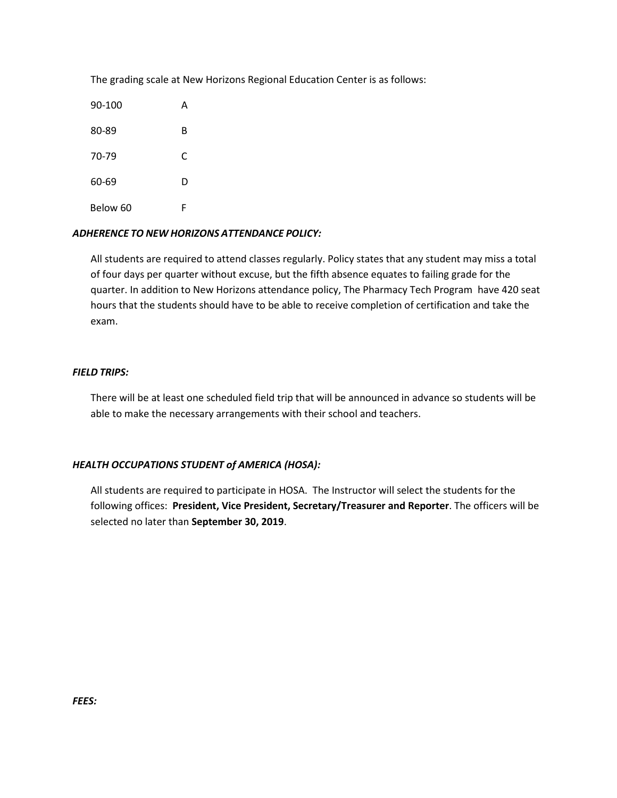The grading scale at New Horizons Regional Education Center is as follows:

| 90-100   | А |
|----------|---|
| 80-89    | B |
| 70-79    | C |
| 60-69    | D |
| Below 60 | F |

## *ADHERENCE TO NEW HORIZONS ATTENDANCE POLICY:*

All students are required to attend classes regularly. Policy states that any student may miss a total of four days per quarter without excuse, but the fifth absence equates to failing grade for the quarter. In addition to New Horizons attendance policy, The Pharmacy Tech Program have 420 seat hours that the students should have to be able to receive completion of certification and take the exam.

## *FIELD TRIPS:*

There will be at least one scheduled field trip that will be announced in advance so students will be able to make the necessary arrangements with their school and teachers.

## *HEALTH OCCUPATIONS STUDENT of AMERICA (HOSA):*

All students are required to participate in HOSA. The Instructor will select the students for the following offices: **President, Vice President, Secretary/Treasurer and Reporter**. The officers will be selected no later than **September 30, 2019**.